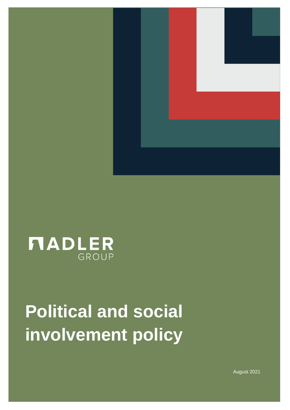



## **Political and social involvement policy**

August 2021